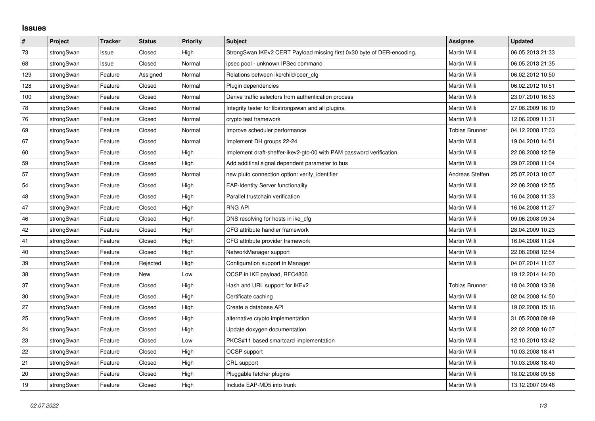## **Issues**

| $\vert$ # | Project    | <b>Tracker</b> | <b>Status</b> | Priority | <b>Subject</b>                                                         | Assignee              | <b>Updated</b>   |
|-----------|------------|----------------|---------------|----------|------------------------------------------------------------------------|-----------------------|------------------|
| 73        | strongSwan | Issue          | Closed        | High     | StrongSwan IKEv2 CERT Payload missing first 0x30 byte of DER-encoding. | <b>Martin Willi</b>   | 06.05.2013 21:33 |
| 68        | strongSwan | Issue          | Closed        | Normal   | ipsec pool - unknown IPSec command                                     | <b>Martin Willi</b>   | 06.05.2013 21:35 |
| 129       | strongSwan | Feature        | Assigned      | Normal   | Relations between ike/child/peer_cfg                                   | Martin Willi          | 06.02.2012 10:50 |
| 128       | strongSwan | Feature        | Closed        | Normal   | Plugin dependencies                                                    | <b>Martin Willi</b>   | 06.02.2012 10:51 |
| 100       | strongSwan | Feature        | Closed        | Normal   | Derive traffic selectors from authentication process                   | <b>Martin Willi</b>   | 23.07.2010 16:53 |
| 78        | strongSwan | Feature        | Closed        | Normal   | Integrity tester for libstrongswan and all plugins.                    | <b>Martin Willi</b>   | 27.06.2009 16:19 |
| 76        | strongSwan | Feature        | Closed        | Normal   | crypto test framework                                                  | <b>Martin Willi</b>   | 12.06.2009 11:31 |
| 69        | strongSwan | Feature        | Closed        | Normal   | Improve scheduler performance                                          | <b>Tobias Brunner</b> | 04.12.2008 17:03 |
| 67        | strongSwan | Feature        | Closed        | Normal   | Implement DH groups 22-24                                              | <b>Martin Willi</b>   | 19.04.2010 14:51 |
| 60        | strongSwan | Feature        | Closed        | High     | Implement draft-sheffer-ikev2-gtc-00 with PAM password verification    | <b>Martin Willi</b>   | 22.08.2008 12:59 |
| 59        | strongSwan | Feature        | Closed        | High     | Add additinal signal dependent parameter to bus                        | Martin Willi          | 29.07.2008 11:04 |
| 57        | strongSwan | Feature        | Closed        | Normal   | new pluto connection option: verify identifier                         | Andreas Steffen       | 25.07.2013 10:07 |
| 54        | strongSwan | Feature        | Closed        | High     | <b>EAP-Identity Server functionality</b>                               | Martin Willi          | 22.08.2008 12:55 |
| 48        | strongSwan | Feature        | Closed        | High     | Parallel trustchain verification                                       | <b>Martin Willi</b>   | 16.04.2008 11:33 |
| 47        | strongSwan | Feature        | Closed        | High     | <b>RNG API</b>                                                         | Martin Willi          | 16.04.2008 11:27 |
| 46        | strongSwan | Feature        | Closed        | High     | DNS resolving for hosts in ike_cfg                                     | Martin Willi          | 09.06.2008 09:34 |
| 42        | strongSwan | Feature        | Closed        | High     | CFG attribute handler framework                                        | Martin Willi          | 28.04.2009 10:23 |
| 41        | strongSwan | Feature        | Closed        | High     | CFG attribute provider framework                                       | Martin Willi          | 16.04.2008 11:24 |
| 40        | strongSwan | Feature        | Closed        | High     | NetworkManager support                                                 | <b>Martin Willi</b>   | 22.08.2008 12:54 |
| 39        | strongSwan | Feature        | Rejected      | High     | Configuration support in Manager                                       | <b>Martin Willi</b>   | 04.07.2014 11:07 |
| 38        | strongSwan | Feature        | <b>New</b>    | Low      | OCSP in IKE payload, RFC4806                                           |                       | 19.12.2014 14:20 |
| 37        | strongSwan | Feature        | Closed        | High     | Hash and URL support for IKEv2                                         | <b>Tobias Brunner</b> | 18.04.2008 13:38 |
| 30        | strongSwan | Feature        | Closed        | High     | Certificate caching                                                    | Martin Willi          | 02.04.2008 14:50 |
| 27        | strongSwan | Feature        | Closed        | High     | Create a database API                                                  | <b>Martin Willi</b>   | 19.02.2008 15:16 |
| 25        | strongSwan | Feature        | Closed        | High     | alternative crypto implementation                                      | <b>Martin Willi</b>   | 31.05.2008 09:49 |
| 24        | strongSwan | Feature        | Closed        | High     | Update doxygen documentation                                           | <b>Martin Willi</b>   | 22.02.2008 16:07 |
| 23        | strongSwan | Feature        | Closed        | Low      | PKCS#11 based smartcard implementation                                 | Martin Willi          | 12.10.2010 13:42 |
| 22        | strongSwan | Feature        | Closed        | High     | OCSP support                                                           | <b>Martin Willi</b>   | 10.03.2008 18:41 |
| 21        | strongSwan | Feature        | Closed        | High     | CRL support                                                            | Martin Willi          | 10.03.2008 18:40 |
| 20        | strongSwan | Feature        | Closed        | High     | Pluggable fetcher plugins                                              | Martin Willi          | 18.02.2008 09:58 |
| 19        | strongSwan | Feature        | Closed        | High     | Include EAP-MD5 into trunk                                             | Martin Willi          | 13.12.2007 09:48 |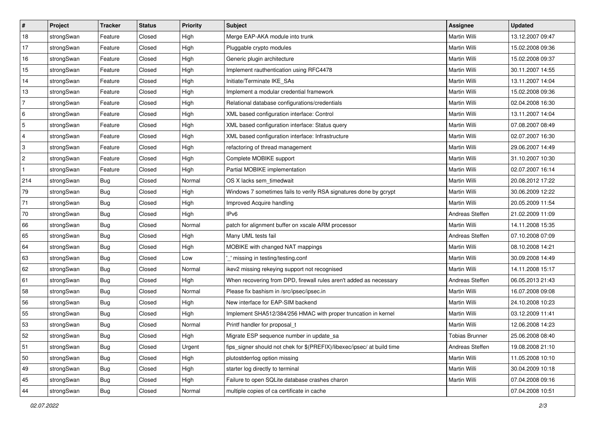| $\sharp$                  | Project    | <b>Tracker</b> | <b>Status</b> | Priority | <b>Subject</b>                                                          | <b>Assignee</b>     | <b>Updated</b>   |
|---------------------------|------------|----------------|---------------|----------|-------------------------------------------------------------------------|---------------------|------------------|
| 18                        | strongSwan | Feature        | Closed        | High     | Merge EAP-AKA module into trunk                                         | Martin Willi        | 13.12.2007 09:47 |
| 17                        | strongSwan | Feature        | Closed        | High     | Pluggable crypto modules                                                | Martin Willi        | 15.02.2008 09:36 |
| 16                        | strongSwan | Feature        | Closed        | High     | Generic plugin architecture                                             | Martin Willi        | 15.02.2008 09:37 |
| 15                        | strongSwan | Feature        | Closed        | High     | Implement rauthentication using RFC4478                                 | Martin Willi        | 30.11.2007 14:55 |
| 14                        | strongSwan | Feature        | Closed        | High     | Initiate/Terminate IKE_SAs                                              | Martin Willi        | 13.11.2007 14:04 |
| 13                        | strongSwan | Feature        | Closed        | High     | Implement a modular credential framework                                | Martin Willi        | 15.02.2008 09:36 |
| $\overline{7}$            | strongSwan | Feature        | Closed        | High     | Relational database configurations/credentials                          | Martin Willi        | 02.04.2008 16:30 |
| 6                         | strongSwan | Feature        | Closed        | High     | XML based configuration interface: Control                              | <b>Martin Willi</b> | 13.11.2007 14:04 |
| $\overline{5}$            | strongSwan | Feature        | Closed        | High     | XML based configuration interface: Status query                         | Martin Willi        | 07.08.2007 08:49 |
| $\overline{4}$            | strongSwan | Feature        | Closed        | High     | XML based configuration interface: Infrastructure                       | Martin Willi        | 02.07.2007 16:30 |
| $\ensuremath{\mathsf{3}}$ | strongSwan | Feature        | Closed        | High     | refactoring of thread management                                        | Martin Willi        | 29.06.2007 14:49 |
| $\overline{c}$            | strongSwan | Feature        | Closed        | High     | Complete MOBIKE support                                                 | Martin Willi        | 31.10.2007 10:30 |
| $\mathbf{1}$              | strongSwan | Feature        | Closed        | High     | Partial MOBIKE implementation                                           | Martin Willi        | 02.07.2007 16:14 |
| 214                       | strongSwan | Bug            | Closed        | Normal   | OS X lacks sem_timedwait                                                | Martin Willi        | 20.08.2012 17:22 |
| 79                        | strongSwan | <b>Bug</b>     | Closed        | High     | Windows 7 sometimes fails to verify RSA signatures done by gcrypt       | Martin Willi        | 30.06.2009 12:22 |
| 71                        | strongSwan | <b>Bug</b>     | Closed        | High     | Improved Acquire handling                                               | Martin Willi        | 20.05.2009 11:54 |
| 70                        | strongSwan | <b>Bug</b>     | Closed        | High     | IP <sub>v6</sub>                                                        | Andreas Steffen     | 21.02.2009 11:09 |
| 66                        | strongSwan | <b>Bug</b>     | Closed        | Normal   | patch for alignment buffer on xscale ARM processor                      | Martin Willi        | 14.11.2008 15:35 |
| 65                        | strongSwan | Bug            | Closed        | High     | Many UML tests fail                                                     | Andreas Steffen     | 07.10.2008 07:09 |
| 64                        | strongSwan | <b>Bug</b>     | Closed        | High     | MOBIKE with changed NAT mappings                                        | Martin Willi        | 08.10.2008 14:21 |
| 63                        | strongSwan | <b>Bug</b>     | Closed        | Low      | _' missing in testing/testing.conf                                      | Martin Willi        | 30.09.2008 14:49 |
| 62                        | strongSwan | <b>Bug</b>     | Closed        | Normal   | ikev2 missing rekeying support not recognised                           | Martin Willi        | 14.11.2008 15:17 |
| 61                        | strongSwan | Bug            | Closed        | High     | When recovering from DPD, firewall rules aren't added as necessary      | Andreas Steffen     | 06.05.2013 21:43 |
| 58                        | strongSwan | Bug            | Closed        | Normal   | Please fix bashism in /src/ipsec/ipsec.in                               | Martin Willi        | 16.07.2008 09:08 |
| 56                        | strongSwan | <b>Bug</b>     | Closed        | High     | New interface for EAP-SIM backend                                       | Martin Willi        | 24.10.2008 10:23 |
| 55                        | strongSwan | <b>Bug</b>     | Closed        | High     | Implement SHA512/384/256 HMAC with proper truncation in kernel          | Martin Willi        | 03.12.2009 11:41 |
| 53                        | strongSwan | <b>Bug</b>     | Closed        | Normal   | Printf handler for proposal t                                           | Martin Willi        | 12.06.2008 14:23 |
| 52                        | strongSwan | <b>Bug</b>     | Closed        | High     | Migrate ESP sequence number in update_sa                                | Tobias Brunner      | 25.06.2008 08:40 |
| 51                        | strongSwan | Bug            | Closed        | Urgent   | fips_signer should not chek for \$(PREFIX)/libexec/ipsec/ at build time | Andreas Steffen     | 19.08.2008 21:10 |
| 50                        | strongSwan | Bug            | Closed        | High     | plutostderrlog option missing                                           | Martin Willi        | 11.05.2008 10:10 |
| 49                        | strongSwan | Bug            | Closed        | High     | starter log directly to terminal                                        | Martin Willi        | 30.04.2009 10:18 |
| 45                        | strongSwan | Bug            | Closed        | High     | Failure to open SQLite database crashes charon                          | Martin Willi        | 07.04.2008 09:16 |
| 44                        | strongSwan | <b>Bug</b>     | Closed        | Normal   | multiple copies of ca certificate in cache                              |                     | 07.04.2008 10:51 |